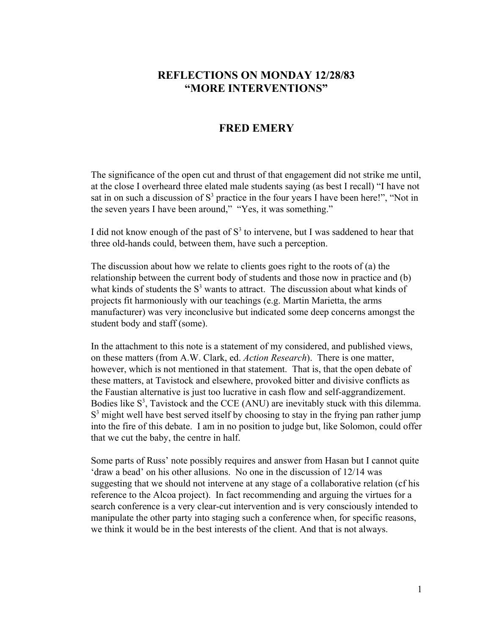## **REFLECTIONS ON MONDAY 12/28/83 "MORE INTERVENTIONS"**

## **FRED EMERY**

The significance of the open cut and thrust of that engagement did not strike me until, at the close I overheard three elated male students saying (as best I recall) "I have not sat in on such a discussion of  $S<sup>3</sup>$  practice in the four years I have been here!", "Not in the seven years I have been around," "Yes, it was something."

I did not know enough of the past of  $S<sup>3</sup>$  to intervene, but I was saddened to hear that three old-hands could, between them, have such a perception.

The discussion about how we relate to clients goes right to the roots of (a) the relationship between the current body of students and those now in practice and (b) what kinds of students the  $S<sup>3</sup>$  wants to attract. The discussion about what kinds of projects fit harmoniously with our teachings (e.g. Martin Marietta, the arms manufacturer) was very inconclusive but indicated some deep concerns amongst the student body and staff (some).

In the attachment to this note is a statement of my considered, and published views, on these matters (from A.W. Clark, ed. *Action Research*). There is one matter, however, which is not mentioned in that statement. That is, that the open debate of these matters, at Tavistock and elsewhere, provoked bitter and divisive conflicts as the Faustian alternative is just too lucrative in cash flow and self-aggrandizement. Bodies like  $S<sup>3</sup>$ , Tavistock and the CCE (ANU) are inevitably stuck with this dilemma. S<sup>3</sup> might well have best served itself by choosing to stay in the frying pan rather jump into the fire of this debate. I am in no position to judge but, like Solomon, could offer that we cut the baby, the centre in half.

Some parts of Russ' note possibly requires and answer from Hasan but I cannot quite 'draw a bead' on his other allusions. No one in the discussion of 12/14 was suggesting that we should not intervene at any stage of a collaborative relation (cf his reference to the Alcoa project). In fact recommending and arguing the virtues for a search conference is a very clear-cut intervention and is very consciously intended to manipulate the other party into staging such a conference when, for specific reasons, we think it would be in the best interests of the client. And that is not always.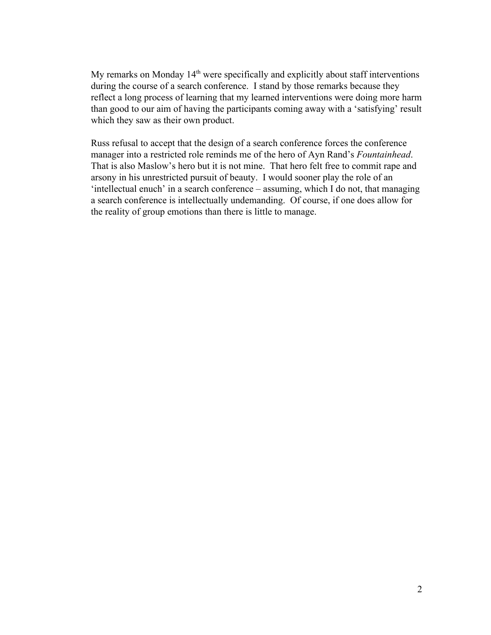My remarks on Monday  $14<sup>th</sup>$  were specifically and explicitly about staff interventions during the course of a search conference. I stand by those remarks because they reflect a long process of learning that my learned interventions were doing more harm than good to our aim of having the participants coming away with a 'satisfying' result which they saw as their own product.

Russ refusal to accept that the design of a search conference forces the conference manager into a restricted role reminds me of the hero of Ayn Rand's *Fountainhead*. That is also Maslow's hero but it is not mine. That hero felt free to commit rape and arsony in his unrestricted pursuit of beauty. I would sooner play the role of an 'intellectual enuch' in a search conference – assuming, which I do not, that managing a search conference is intellectually undemanding. Of course, if one does allow for the reality of group emotions than there is little to manage.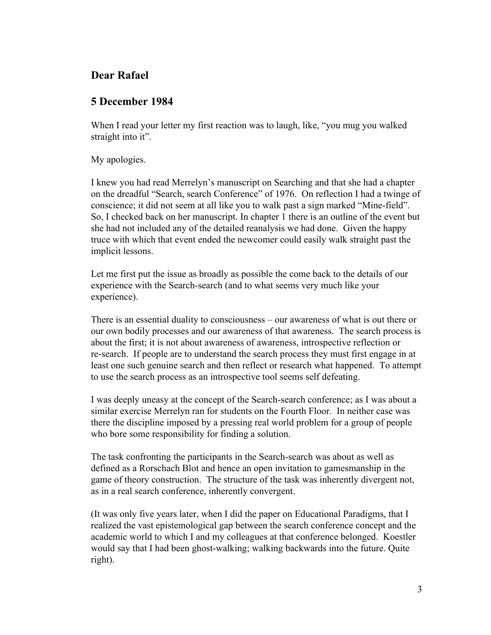## **Dear Rafael**

## **5 December 1984**

When I read your letter my first reaction was to laugh, like, "you mug you walked straight into it".

My apologies.

I knew you had read Merrelyn's manuscript on Searching and that she had a chapter on the dreadful "Search, search Conference" of 1976. On reflection I had a twinge of conscience; it did not seem at all like you to walk past a sign marked "Mine-field". So, I checked back on her manuscript. In chapter 1 there is an outline of the event but she had not included any of the detailed reanalysis we had done. Given the happy truce with which that event ended the newcomer could easily walk straight past the implicit lessons.

Let me first put the issue as broadly as possible the come back to the details of our experience with the Search-search (and to what seems very much like your experience).

There is an essential duality to consciousness – our awareness of what is out there or our own bodily processes and our awareness of that awareness. The search process is about the first; it is not about awareness of awareness, introspective reflection or re-search. If people are to understand the search process they must first engage in at least one such genuine search and then reflect or research what happened. To attempt to use the search process as an introspective tool seems self defeating.

I was deeply uneasy at the concept of the Search-search conference; as I was about a similar exercise Merrelyn ran for students on the Fourth Floor. In neither case was there the discipline imposed by a pressing real world problem for a group of people who bore some responsibility for finding a solution.

The task confronting the participants in the Search-search was about as well as defined as a Rorschach Blot and hence an open invitation to gamesmanship in the game of theory construction. The structure of the task was inherently divergent not, as in a real search conference, inherently convergent.

(It was only five years later, when I did the paper on Educational Paradigms, that I realized the vast epistemological gap between the search conference concept and the academic world to which I and my colleagues at that conference belonged. Koestler would say that I had been ghost-walking; walking backwards into the future. Quite right).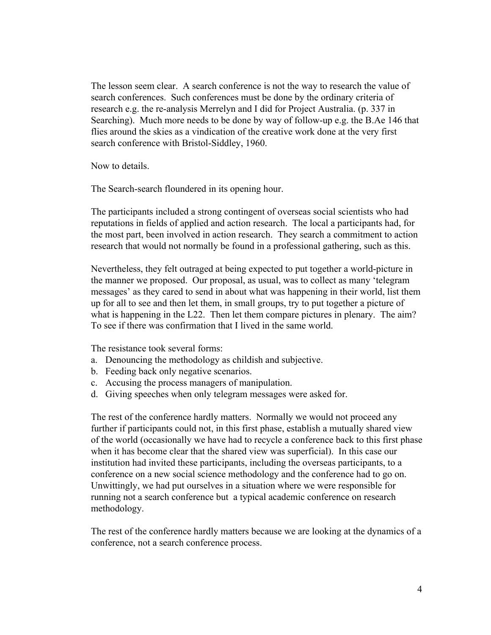The lesson seem clear. A search conference is not the way to research the value of search conferences. Such conferences must be done by the ordinary criteria of research e.g. the re-analysis Merrelyn and I did for Project Australia. (p. 337 in Searching). Much more needs to be done by way of follow-up e.g. the B.Ae 146 that flies around the skies as a vindication of the creative work done at the very first search conference with Bristol-Siddley, 1960.

Now to details.

The Search-search floundered in its opening hour.

The participants included a strong contingent of overseas social scientists who had reputations in fields of applied and action research. The local a participants had, for the most part, been involved in action research. They search a commitment to action research that would not normally be found in a professional gathering, such as this.

Nevertheless, they felt outraged at being expected to put together a world-picture in the manner we proposed. Our proposal, as usual, was to collect as many 'telegram messages' as they cared to send in about what was happening in their world, list them up for all to see and then let them, in small groups, try to put together a picture of what is happening in the L22. Then let them compare pictures in plenary. The aim? To see if there was confirmation that I lived in the same world.

The resistance took several forms:

- a. Denouncing the methodology as childish and subjective.
- b. Feeding back only negative scenarios.
- c. Accusing the process managers of manipulation.
- d. Giving speeches when only telegram messages were asked for.

The rest of the conference hardly matters. Normally we would not proceed any further if participants could not, in this first phase, establish a mutually shared view of the world (occasionally we have had to recycle a conference back to this first phase when it has become clear that the shared view was superficial). In this case our institution had invited these participants, including the overseas participants, to a conference on a new social science methodology and the conference had to go on. Unwittingly, we had put ourselves in a situation where we were responsible for running not a search conference but a typical academic conference on research methodology.

The rest of the conference hardly matters because we are looking at the dynamics of a conference, not a search conference process.